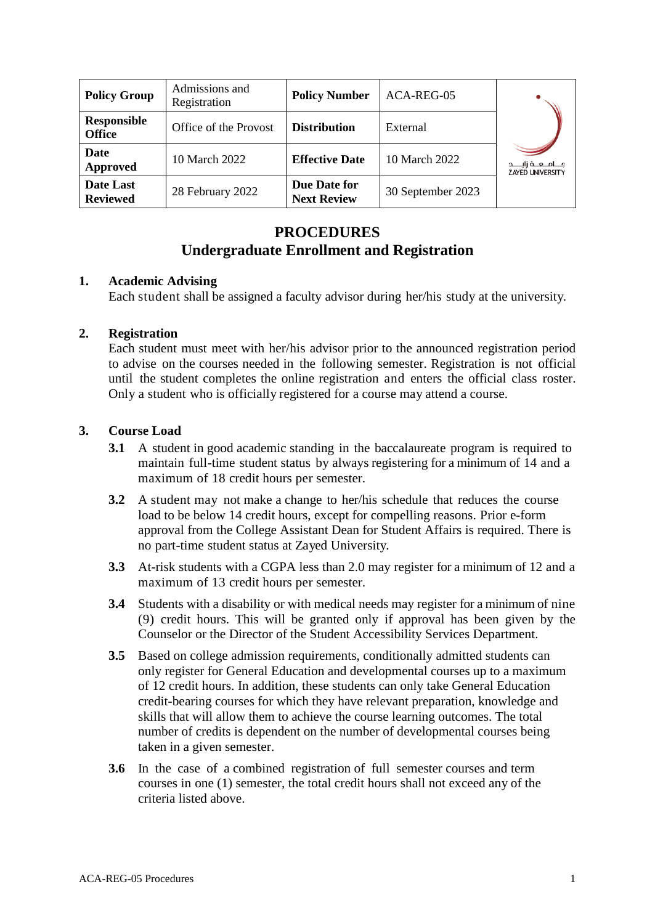| <b>Policy Group</b>                 | Admissions and<br>Registration | <b>Policy Number</b>               | ACA-REG-05        |                                                          |
|-------------------------------------|--------------------------------|------------------------------------|-------------------|----------------------------------------------------------|
| <b>Responsible</b><br><b>Office</b> | Office of the Provost          | <b>Distribution</b>                | External          |                                                          |
| Date<br><b>Approved</b>             | 10 March 2022                  | <b>Effective Date</b>              | 10 March 2022     | جــــامــــعـــــة زايــــــد<br><b>ZAYED UNIVERSITY</b> |
| Date Last<br><b>Reviewed</b>        | 28 February 2022               | Due Date for<br><b>Next Review</b> | 30 September 2023 |                                                          |

# **PROCEDURES Undergraduate Enrollment and Registration**

## **1. Academic Advising**

Each student shall be assigned a faculty advisor during her/his study at the university.

## **2. Registration**

Each student must meet with her/his advisor prior to the announced registration period to advise on the courses needed in the following semester. Registration is not official until the student completes the online registration and enters the official class roster. Only a student who is officially registered for a course may attend a course.

## **3. Course Load**

- **3.1** A student in good academic standing in the baccalaureate program is required to maintain full-time student status by always registering for a minimum of 14 and a maximum of 18 credit hours per semester.
- **3.2** A student may not make a change to her/his schedule that reduces the course load to be below 14 credit hours, except for compelling reasons. Prior e-form approval from the College Assistant Dean for Student Affairs is required. There is no part-time student status at Zayed University.
- **3.3** At-risk students with a CGPA less than 2.0 may register for a minimum of 12 and a maximum of 13 credit hours per semester.
- **3.4** Students with a disability or with medical needs may register for a minimum of nine (9) credit hours. This will be granted only if approval has been given by the Counselor or the Director of the Student Accessibility Services Department.
- **3.5** Based on college admission requirements, conditionally admitted students can only register for General Education and developmental courses up to a maximum of 12 credit hours. In addition, these students can only take General Education credit-bearing courses for which they have relevant preparation, knowledge and skills that will allow them to achieve the course learning outcomes. The total number of credits is dependent on the number of developmental courses being taken in a given semester.
- **3.6** In the case of a combined registration of full semester courses and term courses in one (1) semester, the total credit hours shall not exceed any of the criteria listed above.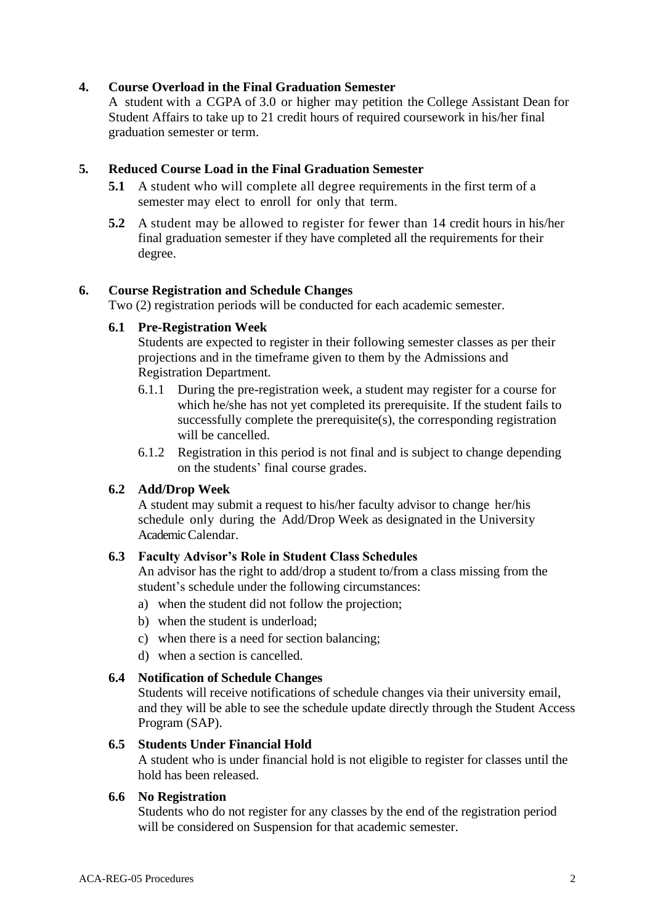## **4. Course Overload in the Final Graduation Semester**

A student with a CGPA of 3.0 or higher may petition the College Assistant Dean for Student Affairs to take up to 21 credit hours of required coursework in his/her final graduation semester or term.

## **5. Reduced Course Load in the Final Graduation Semester**

- **5.1** A student who will complete all degree requirements in the first term of a semester may elect to enroll for only that term.
- **5.2** A student may be allowed to register for fewer than 14 credit hours in his/her final graduation semester if they have completed all the requirements for their degree.

## **6. Course Registration and Schedule Changes**

Two (2) registration periods will be conducted for each academic semester.

## **6.1 Pre-Registration Week**

Students are expected to register in their following semester classes as per their projections and in the timeframe given to them by the Admissions and Registration Department.

- 6.1.1 During the pre-registration week, a student may register for a course for which he/she has not yet completed its prerequisite. If the student fails to successfully complete the prerequisite(s), the corresponding registration will be cancelled.
- 6.1.2 Registration in this period is not final and is subject to change depending on the students' final course grades.

## **6.2 Add/Drop Week**

A student may submit a request to his/her faculty advisor to change her/his schedule only during the Add/Drop Week as designated in the University Academic Calendar.

## **6.3 Faculty Advisor's Role in Student Class Schedules**

An advisor has the right to add/drop a student to/from a class missing from the student's schedule under the following circumstances:

- a) when the student did not follow the projection;
- b) when the student is underload;
- c) when there is a need for section balancing;
- d) when a section is cancelled.

## **6.4 Notification of Schedule Changes**

Students will receive notifications of schedule changes via their university email, and they will be able to see the schedule update directly through the Student Access Program (SAP).

## **6.5 Students Under Financial Hold**

A student who is under financial hold is not eligible to register for classes until the hold has been released.

## **6.6 No Registration**

Students who do not register for any classes by the end of the registration period will be considered on Suspension for that academic semester.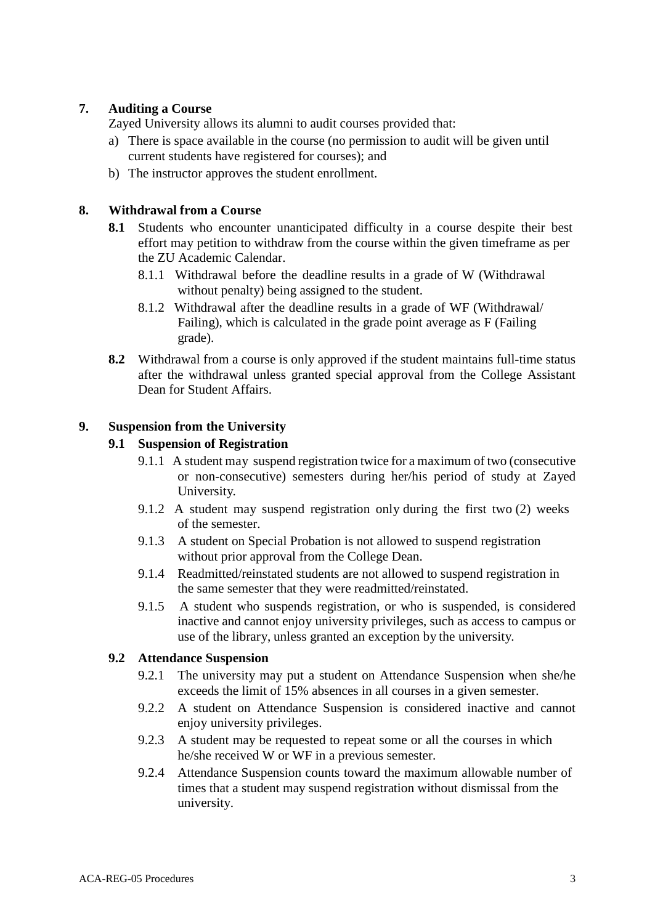## **7. Auditing a Course**

Zayed University allows its alumni to audit courses provided that:

- a) There is space available in the course (no permission to audit will be given until current students have registered for courses); and
- b) The instructor approves the student enrollment.

## **8. Withdrawal from a Course**

- **8.1** Students who encounter unanticipated difficulty in a course despite their best effort may petition to withdraw from the course within the given timeframe as per the ZU Academic Calendar.
	- 8.1.1 Withdrawal before the deadline results in a grade of W (Withdrawal without penalty) being assigned to the student.
	- 8.1.2 Withdrawal after the deadline results in a grade of WF (Withdrawal/ Failing), which is calculated in the grade point average as F (Failing grade).
- **8.2** Withdrawal from a course is only approved if the student maintains full-time status after the withdrawal unless granted special approval from the College Assistant Dean for Student Affairs.

## **9. Suspension from the University**

## **9.1 Suspension of Registration**

- 9.1.1 A student may suspend registration twice for a maximum of two (consecutive or non-consecutive) semesters during her/his period of study at Zayed University.
- 9.1.2 A student may suspend registration only during the first two (2) weeks of the semester.
- 9.1.3 A student on Special Probation is not allowed to suspend registration without prior approval from the College Dean.
- 9.1.4 Readmitted/reinstated students are not allowed to suspend registration in the same semester that they were readmitted/reinstated.
- 9.1.5 A student who suspends registration, or who is suspended, is considered inactive and cannot enjoy university privileges, such as access to campus or use of the library, unless granted an exception by the university.

## **9.2 Attendance Suspension**

- 9.2.1 The university may put a student on Attendance Suspension when she/he exceeds the limit of 15% absences in all courses in a given semester.
- 9.2.2 A student on Attendance Suspension is considered inactive and cannot enjoy university privileges.
- 9.2.3 A student may be requested to repeat some or all the courses in which he/she received W or WF in a previous semester.
- 9.2.4 Attendance Suspension counts toward the maximum allowable number of times that a student may suspend registration without dismissal from the university.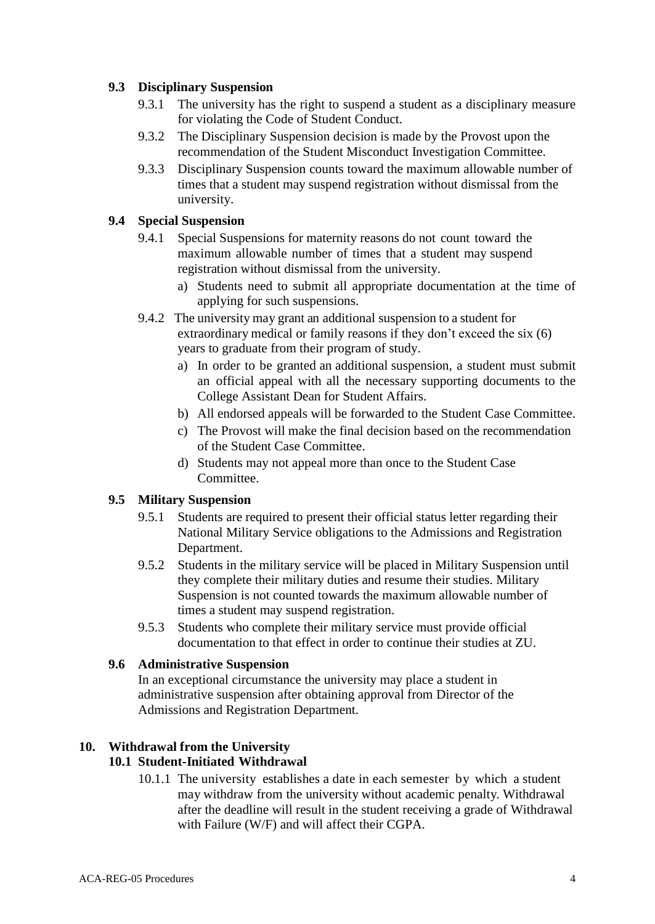## **9.3 Disciplinary Suspension**

- 9.3.1 The university has the right to suspend a student as a disciplinary measure for violating the Code of Student Conduct.
- 9.3.2 The Disciplinary Suspension decision is made by the Provost upon the recommendation of the Student Misconduct Investigation Committee.
- 9.3.3 Disciplinary Suspension counts toward the maximum allowable number of times that a student may suspend registration without dismissal from the university.

## **9.4 Special Suspension**

- 9.4.1 Special Suspensions for maternity reasons do not count toward the maximum allowable number of times that a student may suspend registration without dismissal from the university.
	- a) Students need to submit all appropriate documentation at the time of applying for such suspensions.
- 9.4.2 The university may grant an additional suspension to a student for extraordinary medical or family reasons if they don't exceed the six (6) years to graduate from their program of study.
	- a) In order to be granted an additional suspension, a student must submit an official appeal with all the necessary supporting documents to the College Assistant Dean for Student Affairs.
	- b) All endorsed appeals will be forwarded to the Student Case Committee.
	- c) The Provost will make the final decision based on the recommendation of the Student Case Committee.
	- d) Students may not appeal more than once to the Student Case Committee.

#### **9.5 Military Suspension**

- 9.5.1 Students are required to present their official status letter regarding their National Military Service obligations to the Admissions and Registration Department.
- 9.5.2 Students in the military service will be placed in Military Suspension until they complete their military duties and resume their studies. Military Suspension is not counted towards the maximum allowable number of times a student may suspend registration.
- 9.5.3 Students who complete their military service must provide official documentation to that effect in order to continue their studies at ZU.

#### **9.6 Administrative Suspension**

In an exceptional circumstance the university may place a student in administrative suspension after obtaining approval from Director of the Admissions and Registration Department.

#### **10. Withdrawal from the University 10.1 Student-Initiated Withdrawal**

10.1.1 The university establishes a date in each semester by which a student may withdraw from the university without academic penalty. Withdrawal after the deadline will result in the student receiving a grade of Withdrawal with Failure (W/F) and will affect their CGPA.